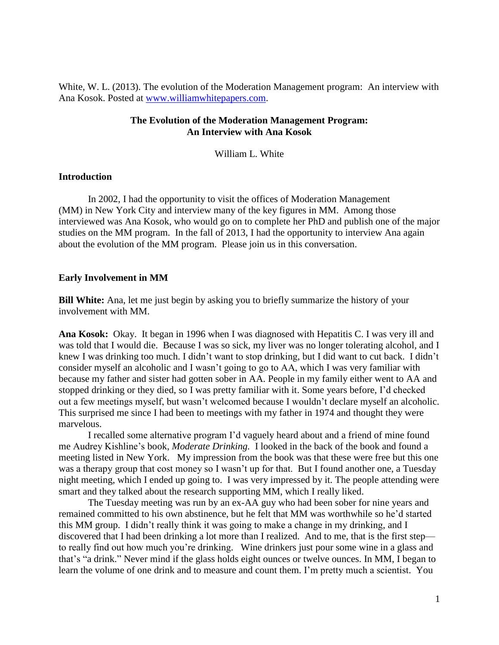White, W. L. (2013). The evolution of the Moderation Management program: An interview with Ana Kosok. Posted at [www.williamwhitepapers.com.](http://www.williamwhitepapers.com/)

## **The Evolution of the Moderation Management Program: An Interview with Ana Kosok**

William L. White

## **Introduction**

In 2002, I had the opportunity to visit the offices of Moderation Management (MM) in New York City and interview many of the key figures in MM. Among those interviewed was Ana Kosok, who would go on to complete her PhD and publish one of the major studies on the MM program. In the fall of 2013, I had the opportunity to interview Ana again about the evolution of the MM program. Please join us in this conversation.

## **Early Involvement in MM**

**Bill White:** Ana, let me just begin by asking you to briefly summarize the history of your involvement with MM.

**Ana Kosok:** Okay. It began in 1996 when I was diagnosed with Hepatitis C. I was very ill and was told that I would die. Because I was so sick, my liver was no longer tolerating alcohol, and I knew I was drinking too much. I didn't want to stop drinking, but I did want to cut back. I didn't consider myself an alcoholic and I wasn't going to go to AA, which I was very familiar with because my father and sister had gotten sober in AA. People in my family either went to AA and stopped drinking or they died, so I was pretty familiar with it. Some years before, I'd checked out a few meetings myself, but wasn't welcomed because I wouldn't declare myself an alcoholic. This surprised me since I had been to meetings with my father in 1974 and thought they were marvelous.

I recalled some alternative program I'd vaguely heard about and a friend of mine found me Audrey Kishline's book, *Moderate Drinking.* I looked in the back of the book and found a meeting listed in New York. My impression from the book was that these were free but this one was a therapy group that cost money so I wasn't up for that. But I found another one, a Tuesday night meeting, which I ended up going to. I was very impressed by it. The people attending were smart and they talked about the research supporting MM, which I really liked.

The Tuesday meeting was run by an ex-AA guy who had been sober for nine years and remained committed to his own abstinence, but he felt that MM was worthwhile so he'd started this MM group. I didn't really think it was going to make a change in my drinking, and I discovered that I had been drinking a lot more than I realized. And to me, that is the first step to really find out how much you're drinking. Wine drinkers just pour some wine in a glass and that's "a drink." Never mind if the glass holds eight ounces or twelve ounces. In MM, I began to learn the volume of one drink and to measure and count them. I'm pretty much a scientist. You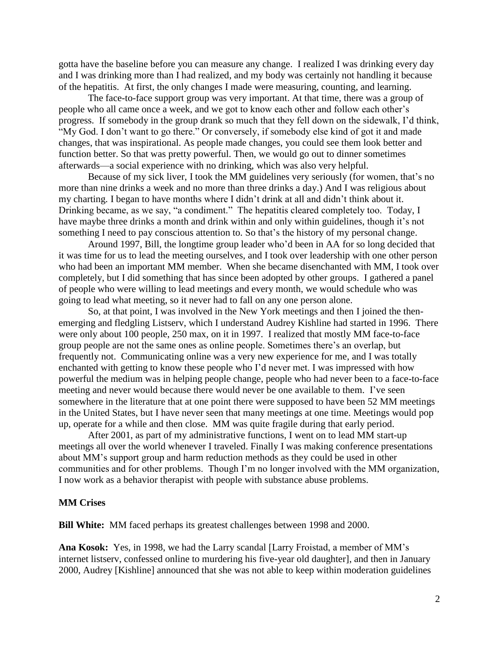gotta have the baseline before you can measure any change. I realized I was drinking every day and I was drinking more than I had realized, and my body was certainly not handling it because of the hepatitis. At first, the only changes I made were measuring, counting, and learning.

The face-to-face support group was very important. At that time, there was a group of people who all came once a week, and we got to know each other and follow each other's progress. If somebody in the group drank so much that they fell down on the sidewalk, I'd think, "My God. I don't want to go there." Or conversely, if somebody else kind of got it and made changes, that was inspirational. As people made changes, you could see them look better and function better. So that was pretty powerful. Then, we would go out to dinner sometimes afterwards—a social experience with no drinking, which was also very helpful.

Because of my sick liver, I took the MM guidelines very seriously (for women, that's no more than nine drinks a week and no more than three drinks a day.) And I was religious about my charting. I began to have months where I didn't drink at all and didn't think about it. Drinking became, as we say, "a condiment." The hepatitis cleared completely too. Today, I have maybe three drinks a month and drink within and only within guidelines, though it's not something I need to pay conscious attention to. So that's the history of my personal change.

Around 1997, Bill, the longtime group leader who'd been in AA for so long decided that it was time for us to lead the meeting ourselves, and I took over leadership with one other person who had been an important MM member. When she became disenchanted with MM, I took over completely, but I did something that has since been adopted by other groups. I gathered a panel of people who were willing to lead meetings and every month, we would schedule who was going to lead what meeting, so it never had to fall on any one person alone.

So, at that point, I was involved in the New York meetings and then I joined the thenemerging and fledgling Listserv, which I understand Audrey Kishline had started in 1996. There were only about 100 people, 250 max, on it in 1997. I realized that mostly MM face-to-face group people are not the same ones as online people. Sometimes there's an overlap, but frequently not. Communicating online was a very new experience for me, and I was totally enchanted with getting to know these people who I'd never met. I was impressed with how powerful the medium was in helping people change, people who had never been to a face-to-face meeting and never would because there would never be one available to them. I've seen somewhere in the literature that at one point there were supposed to have been 52 MM meetings in the United States, but I have never seen that many meetings at one time. Meetings would pop up, operate for a while and then close. MM was quite fragile during that early period.

After 2001, as part of my administrative functions, I went on to lead MM start-up meetings all over the world whenever I traveled. Finally I was making conference presentations about MM's support group and harm reduction methods as they could be used in other communities and for other problems. Though I'm no longer involved with the MM organization, I now work as a behavior therapist with people with substance abuse problems.

## **MM Crises**

**Bill White:** MM faced perhaps its greatest challenges between 1998 and 2000.

**Ana Kosok:** Yes, in 1998, we had the Larry scandal [Larry Froistad, a member of MM's internet listserv, confessed online to murdering his five-year old daughter], and then in January 2000, Audrey [Kishline] announced that she was not able to keep within moderation guidelines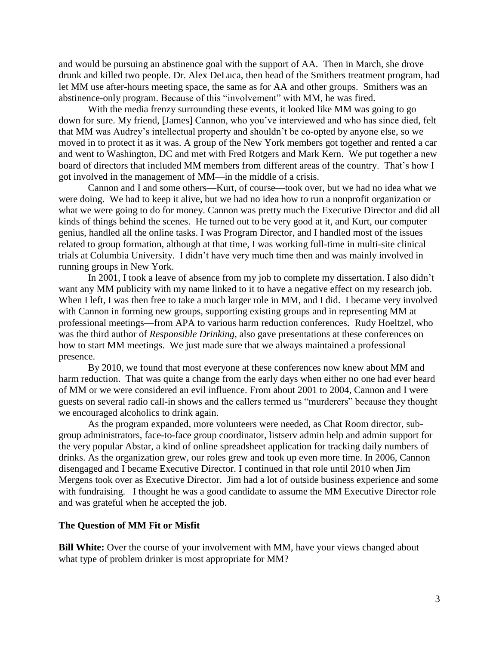and would be pursuing an abstinence goal with the support of AA. Then in March, she drove drunk and killed two people. Dr. Alex DeLuca, then head of the Smithers treatment program, had let MM use after-hours meeting space, the same as for AA and other groups. Smithers was an abstinence-only program. Because of this "involvement" with MM, he was fired.

With the media frenzy surrounding these events, it looked like MM was going to go down for sure. My friend, [James] Cannon, who you've interviewed and who has since died, felt that MM was Audrey's intellectual property and shouldn't be co-opted by anyone else, so we moved in to protect it as it was. A group of the New York members got together and rented a car and went to Washington, DC and met with Fred Rotgers and Mark Kern. We put together a new board of directors that included MM members from different areas of the country. That's how I got involved in the management of MM—in the middle of a crisis.

Cannon and I and some others—Kurt, of course—took over, but we had no idea what we were doing. We had to keep it alive, but we had no idea how to run a nonprofit organization or what we were going to do for money. Cannon was pretty much the Executive Director and did all kinds of things behind the scenes. He turned out to be very good at it, and Kurt, our computer genius, handled all the online tasks. I was Program Director, and I handled most of the issues related to group formation, although at that time, I was working full-time in multi-site clinical trials at Columbia University. I didn't have very much time then and was mainly involved in running groups in New York.

In 2001, I took a leave of absence from my job to complete my dissertation. I also didn't want any MM publicity with my name linked to it to have a negative effect on my research job. When I left, I was then free to take a much larger role in MM, and I did. I became very involved with Cannon in forming new groups, supporting existing groups and in representing MM at professional meetings—from APA to various harm reduction conferences. Rudy Hoeltzel, who was the third author of *Responsible Drinking*, also gave presentations at these conferences on how to start MM meetings. We just made sure that we always maintained a professional presence.

By 2010, we found that most everyone at these conferences now knew about MM and harm reduction. That was quite a change from the early days when either no one had ever heard of MM or we were considered an evil influence. From about 2001 to 2004, Cannon and I were guests on several radio call-in shows and the callers termed us "murderers" because they thought we encouraged alcoholics to drink again.

As the program expanded, more volunteers were needed, as Chat Room director, subgroup administrators, face-to-face group coordinator, listserv admin help and admin support for the very popular Abstar, a kind of online spreadsheet application for tracking daily numbers of drinks. As the organization grew, our roles grew and took up even more time. In 2006, Cannon disengaged and I became Executive Director. I continued in that role until 2010 when Jim Mergens took over as Executive Director. Jim had a lot of outside business experience and some with fundraising. I thought he was a good candidate to assume the MM Executive Director role and was grateful when he accepted the job.

#### **The Question of MM Fit or Misfit**

**Bill White:** Over the course of your involvement with MM, have your views changed about what type of problem drinker is most appropriate for MM?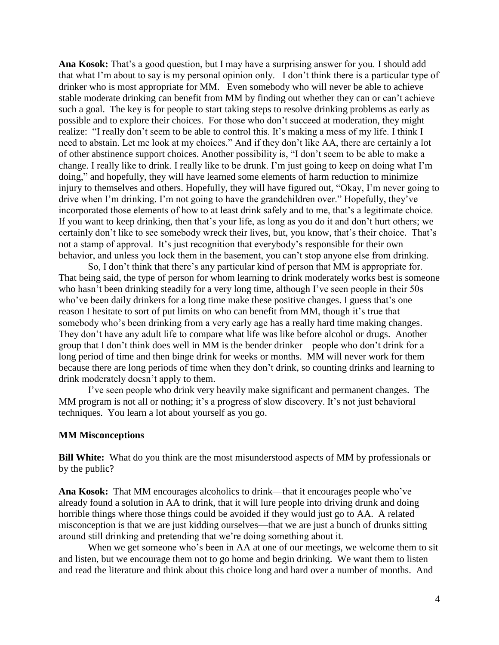**Ana Kosok:** That's a good question, but I may have a surprising answer for you. I should add that what I'm about to say is my personal opinion only. I don't think there is a particular type of drinker who is most appropriate for MM. Even somebody who will never be able to achieve stable moderate drinking can benefit from MM by finding out whether they can or can't achieve such a goal. The key is for people to start taking steps to resolve drinking problems as early as possible and to explore their choices. For those who don't succeed at moderation, they might realize: "I really don't seem to be able to control this. It's making a mess of my life. I think I need to abstain. Let me look at my choices." And if they don't like AA, there are certainly a lot of other abstinence support choices. Another possibility is, "I don't seem to be able to make a change. I really like to drink. I really like to be drunk. I'm just going to keep on doing what I'm doing," and hopefully, they will have learned some elements of harm reduction to minimize injury to themselves and others. Hopefully, they will have figured out, "Okay, I'm never going to drive when I'm drinking. I'm not going to have the grandchildren over." Hopefully, they've incorporated those elements of how to at least drink safely and to me, that's a legitimate choice. If you want to keep drinking, then that's your life, as long as you do it and don't hurt others; we certainly don't like to see somebody wreck their lives, but, you know, that's their choice. That's not a stamp of approval. It's just recognition that everybody's responsible for their own behavior, and unless you lock them in the basement, you can't stop anyone else from drinking.

So, I don't think that there's any particular kind of person that MM is appropriate for. That being said, the type of person for whom learning to drink moderately works best is someone who hasn't been drinking steadily for a very long time, although I've seen people in their 50s who've been daily drinkers for a long time make these positive changes. I guess that's one reason I hesitate to sort of put limits on who can benefit from MM, though it's true that somebody who's been drinking from a very early age has a really hard time making changes. They don't have any adult life to compare what life was like before alcohol or drugs. Another group that I don't think does well in MM is the bender drinker—people who don't drink for a long period of time and then binge drink for weeks or months. MM will never work for them because there are long periods of time when they don't drink, so counting drinks and learning to drink moderately doesn't apply to them.

I've seen people who drink very heavily make significant and permanent changes. The MM program is not all or nothing; it's a progress of slow discovery. It's not just behavioral techniques. You learn a lot about yourself as you go.

#### **MM Misconceptions**

**Bill White:** What do you think are the most misunderstood aspects of MM by professionals or by the public?

**Ana Kosok:** That MM encourages alcoholics to drink—that it encourages people who've already found a solution in AA to drink, that it will lure people into driving drunk and doing horrible things where those things could be avoided if they would just go to AA. A related misconception is that we are just kidding ourselves—that we are just a bunch of drunks sitting around still drinking and pretending that we're doing something about it.

When we get someone who's been in AA at one of our meetings, we welcome them to sit and listen, but we encourage them not to go home and begin drinking. We want them to listen and read the literature and think about this choice long and hard over a number of months. And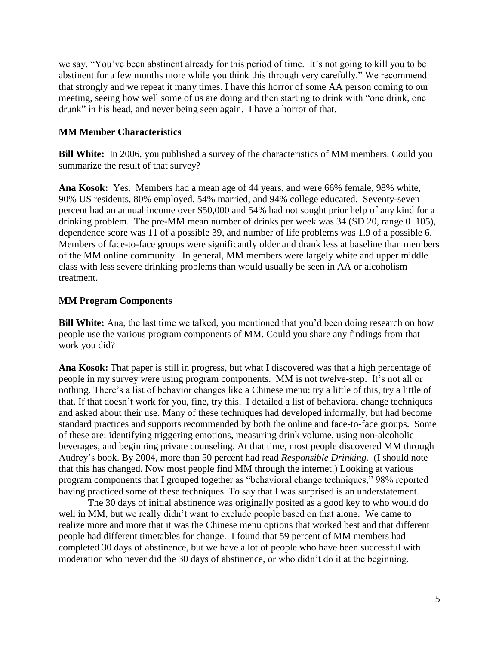we say, "You've been abstinent already for this period of time. It's not going to kill you to be abstinent for a few months more while you think this through very carefully." We recommend that strongly and we repeat it many times. I have this horror of some AA person coming to our meeting, seeing how well some of us are doing and then starting to drink with "one drink, one drunk" in his head, and never being seen again. I have a horror of that.

# **MM Member Characteristics**

**Bill White:** In 2006, you published a survey of the characteristics of MM members. Could you summarize the result of that survey?

**Ana Kosok:** Yes. Members had a mean age of 44 years, and were 66% female, 98% white, 90% US residents, 80% employed, 54% married, and 94% college educated. Seventy-seven percent had an annual income over \$50,000 and 54% had not sought prior help of any kind for a drinking problem. The pre-MM mean number of drinks per week was 34 (SD 20, range 0–105), dependence score was 11 of a possible 39, and number of life problems was 1.9 of a possible 6. Members of face-to-face groups were significantly older and drank less at baseline than members of the MM online community. In general, MM members were largely white and upper middle class with less severe drinking problems than would usually be seen in AA or alcoholism treatment.

## **MM Program Components**

**Bill White:** Ana, the last time we talked, you mentioned that you'd been doing research on how people use the various program components of MM. Could you share any findings from that work you did?

**Ana Kosok:** That paper is still in progress, but what I discovered was that a high percentage of people in my survey were using program components. MM is not twelve-step. It's not all or nothing. There's a list of behavior changes like a Chinese menu: try a little of this, try a little of that. If that doesn't work for you, fine, try this. I detailed a list of behavioral change techniques and asked about their use. Many of these techniques had developed informally, but had become standard practices and supports recommended by both the online and face-to-face groups. Some of these are: identifying triggering emotions, measuring drink volume, using non-alcoholic beverages, and beginning private counseling. At that time, most people discovered MM through Audrey's book. By 2004, more than 50 percent had read *Responsible Drinking.* (I should note that this has changed. Now most people find MM through the internet.) Looking at various program components that I grouped together as "behavioral change techniques," 98% reported having practiced some of these techniques. To say that I was surprised is an understatement.

The 30 days of initial abstinence was originally posited as a good key to who would do well in MM, but we really didn't want to exclude people based on that alone. We came to realize more and more that it was the Chinese menu options that worked best and that different people had different timetables for change. I found that 59 percent of MM members had completed 30 days of abstinence, but we have a lot of people who have been successful with moderation who never did the 30 days of abstinence, or who didn't do it at the beginning.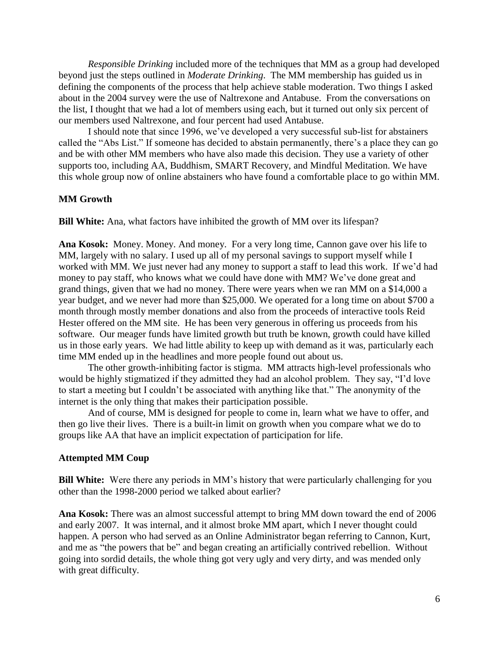*Responsible Drinking* included more of the techniques that MM as a group had developed beyond just the steps outlined in *Moderate Drinking*. The MM membership has guided us in defining the components of the process that help achieve stable moderation. Two things I asked about in the 2004 survey were the use of Naltrexone and Antabuse. From the conversations on the list, I thought that we had a lot of members using each, but it turned out only six percent of our members used Naltrexone, and four percent had used Antabuse.

I should note that since 1996, we've developed a very successful sub-list for abstainers called the "Abs List." If someone has decided to abstain permanently, there's a place they can go and be with other MM members who have also made this decision. They use a variety of other supports too, including AA, Buddhism, SMART Recovery, and Mindful Meditation. We have this whole group now of online abstainers who have found a comfortable place to go within MM.

## **MM Growth**

**Bill White:** Ana, what factors have inhibited the growth of MM over its lifespan?

**Ana Kosok:** Money. Money. And money. For a very long time, Cannon gave over his life to MM, largely with no salary. I used up all of my personal savings to support myself while I worked with MM. We just never had any money to support a staff to lead this work. If we'd had money to pay staff, who knows what we could have done with MM? We've done great and grand things, given that we had no money. There were years when we ran MM on a \$14,000 a year budget, and we never had more than \$25,000. We operated for a long time on about \$700 a month through mostly member donations and also from the proceeds of interactive tools Reid Hester offered on the MM site. He has been very generous in offering us proceeds from his software. Our meager funds have limited growth but truth be known, growth could have killed us in those early years. We had little ability to keep up with demand as it was, particularly each time MM ended up in the headlines and more people found out about us.

The other growth-inhibiting factor is stigma. MM attracts high-level professionals who would be highly stigmatized if they admitted they had an alcohol problem. They say, "I'd love to start a meeting but I couldn't be associated with anything like that." The anonymity of the internet is the only thing that makes their participation possible.

And of course, MM is designed for people to come in, learn what we have to offer, and then go live their lives. There is a built-in limit on growth when you compare what we do to groups like AA that have an implicit expectation of participation for life.

#### **Attempted MM Coup**

**Bill White:** Were there any periods in MM's history that were particularly challenging for you other than the 1998-2000 period we talked about earlier?

**Ana Kosok:** There was an almost successful attempt to bring MM down toward the end of 2006 and early 2007. It was internal, and it almost broke MM apart, which I never thought could happen. A person who had served as an Online Administrator began referring to Cannon, Kurt, and me as "the powers that be" and began creating an artificially contrived rebellion. Without going into sordid details, the whole thing got very ugly and very dirty, and was mended only with great difficulty.